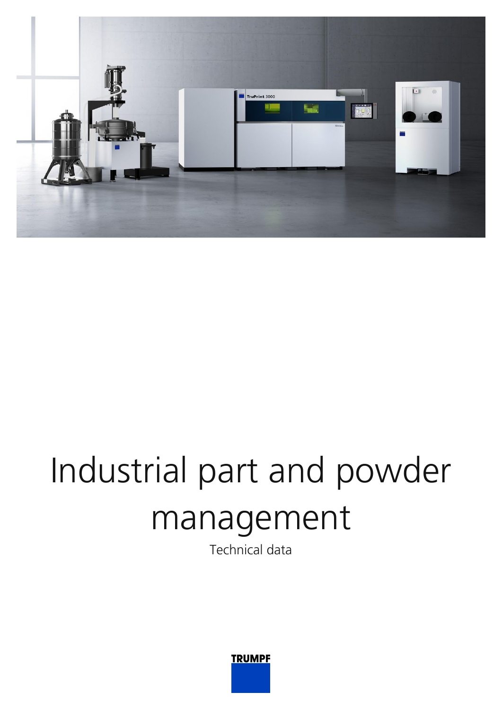

## Industrial part and powder management

Technical data

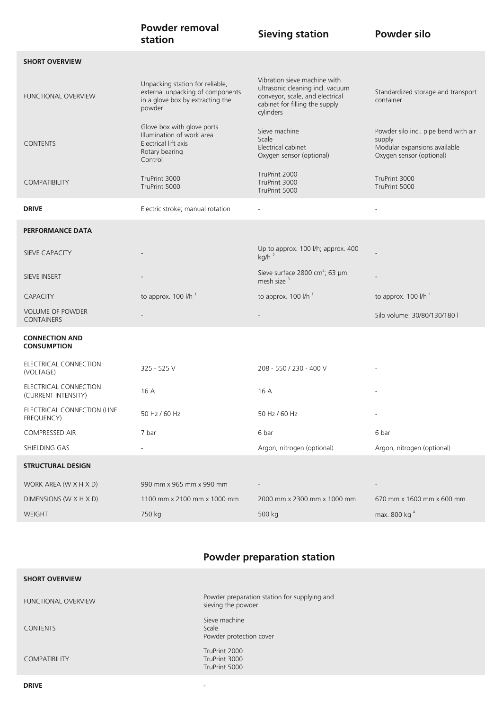|                                              | <b>Powder removal</b><br>station                                                                                  | <b>Sieving station</b>                                                                                                                             | <b>Powder silo</b>                                                                                         |
|----------------------------------------------|-------------------------------------------------------------------------------------------------------------------|----------------------------------------------------------------------------------------------------------------------------------------------------|------------------------------------------------------------------------------------------------------------|
| <b>SHORT OVERVIEW</b>                        |                                                                                                                   |                                                                                                                                                    |                                                                                                            |
| <b>FUNCTIONAL OVERVIEW</b>                   | Unpacking station for reliable,<br>external unpacking of components<br>in a glove box by extracting the<br>powder | Vibration sieve machine with<br>ultrasonic cleaning incl. vacuum<br>conveyor, scale, and electrical<br>cabinet for filling the supply<br>cylinders | Standardized storage and transport<br>container                                                            |
| <b>CONTENTS</b>                              | Glove box with glove ports<br>Illumination of work area<br>Electrical lift axis<br>Rotary bearing<br>Control      | Sieve machine<br>Scale<br>Electrical cabinet<br>Oxygen sensor (optional)                                                                           | Powder silo incl. pipe bend with air<br>supply<br>Modular expansions available<br>Oxygen sensor (optional) |
| <b>COMPATIBILITY</b>                         | TruPrint 3000<br>TruPrint 5000                                                                                    | TruPrint 2000<br>TruPrint 3000<br>TruPrint 5000                                                                                                    | TruPrint 3000<br>TruPrint 5000                                                                             |
| <b>DRIVE</b>                                 | Electric stroke; manual rotation                                                                                  | $\sim$                                                                                                                                             | $\overline{a}$                                                                                             |
| <b>PERFORMANCE DATA</b>                      |                                                                                                                   |                                                                                                                                                    |                                                                                                            |
| SIEVE CAPACITY                               |                                                                                                                   | Up to approx. 100 l/h; approx. 400<br>$kg/h^2$                                                                                                     |                                                                                                            |
| SIEVE INSERT                                 |                                                                                                                   | Sieve surface 2800 cm <sup>2</sup> ; 63 µm<br>mesh size <sup>3</sup>                                                                               |                                                                                                            |
| <b>CAPACITY</b>                              | to approx. 100 l/h <sup>1</sup>                                                                                   | to approx. 100 l/h <sup>1</sup>                                                                                                                    | to approx. $100$ $l/h$ <sup>1</sup>                                                                        |
| <b>VOLUME OF POWDER</b><br><b>CONTAINERS</b> |                                                                                                                   |                                                                                                                                                    | Silo volume: 30/80/130/180 l                                                                               |
| <b>CONNECTION AND</b><br><b>CONSUMPTION</b>  |                                                                                                                   |                                                                                                                                                    |                                                                                                            |
| ELECTRICAL CONNECTION<br>(VOLTAGE)           | 325 - 525 V                                                                                                       | 208 - 550 / 230 - 400 V                                                                                                                            |                                                                                                            |
| ELECTRICAL CONNECTION<br>(CURRENT INTENSITY) | 16 A                                                                                                              | 16 A                                                                                                                                               |                                                                                                            |
| ELECTRICAL CONNECTION (LINE<br>FREQUENCY)    | 50 Hz / 60 Hz                                                                                                     | 50 Hz / 60 Hz                                                                                                                                      |                                                                                                            |
| COMPRESSED AIR                               | 7 bar                                                                                                             | 6 bar                                                                                                                                              | 6 bar                                                                                                      |
| SHIELDING GAS                                |                                                                                                                   | Argon, nitrogen (optional)                                                                                                                         | Argon, nitrogen (optional)                                                                                 |
| <b>STRUCTURAL DESIGN</b>                     |                                                                                                                   |                                                                                                                                                    |                                                                                                            |
| WORK AREA (W X H X D)                        | 990 mm x 965 mm x 990 mm                                                                                          |                                                                                                                                                    |                                                                                                            |
| DIMENSIONS (W X H X D)                       | 1100 mm x 2100 mm x 1000 mm                                                                                       | 2000 mm x 2300 mm x 1000 mm                                                                                                                        | 670 mm x 1600 mm x 600 mm                                                                                  |
| WEIGHT                                       | 750 kg                                                                                                            | 500 kg                                                                                                                                             | max. 800 kg <sup>4</sup>                                                                                   |

## **Powder preparation station**

| <b>SHORT OVERVIEW</b>      |                                                                    |
|----------------------------|--------------------------------------------------------------------|
| <b>FUNCTIONAL OVERVIEW</b> | Powder preparation station for supplying and<br>sieving the powder |
| <b>CONTENTS</b>            | Sieve machine<br>Scale<br>Powder protection cover                  |
| COMPATIBILITY              | TruPrint 2000<br>TruPrint 3000<br>TruPrint 5000                    |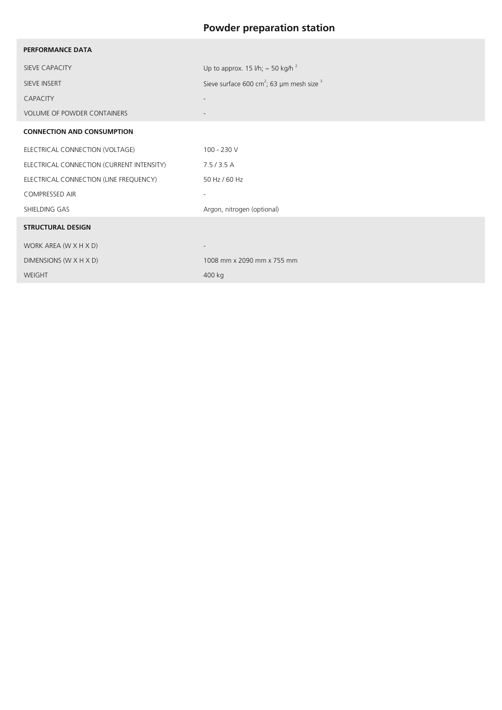## **Powder preparation station**

| <b>PERFORMANCE DATA</b>                   |                                                                  |  |  |
|-------------------------------------------|------------------------------------------------------------------|--|--|
| SIEVE CAPACITY                            | Up to approx. 15 l/h; $\sim$ 50 kg/h <sup>2</sup>                |  |  |
| SIEVE INSERT                              | Sieve surface 600 cm <sup>2</sup> ; 63 µm mesh size <sup>3</sup> |  |  |
| CAPACITY                                  |                                                                  |  |  |
| VOLUME OF POWDER CONTAINERS               |                                                                  |  |  |
| <b>CONNECTION AND CONSUMPTION</b>         |                                                                  |  |  |
| ELECTRICAL CONNECTION (VOLTAGE)           | 100 - 230 V                                                      |  |  |
| ELECTRICAL CONNECTION (CURRENT INTENSITY) | 7.5/3.5A                                                         |  |  |
| ELECTRICAL CONNECTION (LINE FREQUENCY)    | 50 Hz / 60 Hz                                                    |  |  |
| <b>COMPRESSED AIR</b>                     | $\overline{\phantom{a}}$                                         |  |  |
| SHIELDING GAS                             | Argon, nitrogen (optional)                                       |  |  |
| <b>STRUCTURAL DESIGN</b>                  |                                                                  |  |  |
| WORK AREA (W X H X D)                     |                                                                  |  |  |
| DIMENSIONS (W X H X D)                    | 1008 mm x 2090 mm x 755 mm                                       |  |  |
| WEIGHT                                    | 400 kg                                                           |  |  |